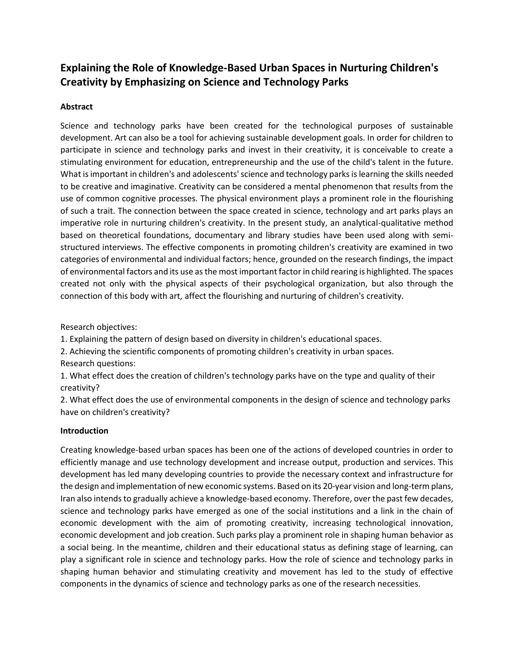# **Explaining the Role of Knowledge-Based Urban Spaces in Nurturing Children's Creativity by Emphasizing on Science and Technology Parks**

## **Abstract**

Science and technology parks have been created for the technological purposes of sustainable development. Art can also be a tool for achieving sustainable development goals. In order for children to participate in science and technology parks and invest in their creativity, it is conceivable to create a stimulating environment for education, entrepreneurship and the use of the child's talent in the future. What is important in children's and adolescents' science and technology parks is learning the skills needed to be creative and imaginative. Creativity can be considered a mental phenomenon that results from the use of common cognitive processes. The physical environment plays a prominent role in the flourishing of such a trait. The connection between the space created in science, technology and art parks plays an imperative role in nurturing children's creativity. In the present study, an analytical-qualitative method based on theoretical foundations, documentary and library studies have been used along with semistructured interviews. The effective components in promoting children's creativity are examined in two categories of environmental and individual factors; hence, grounded on the research findings, the impact of environmental factors and its use as the most important factor in child rearing is highlighted. The spaces created not only with the physical aspects of their psychological organization, but also through the connection of this body with art, affect the flourishing and nurturing of children's creativity.

Research objectives:

1. Explaining the pattern of design based on diversity in children's educational spaces.

2. Achieving the scientific components of promoting children's creativity in urban spaces. Research questions:

1. What effect does the creation of children's technology parks have on the type and quality of their creativity?

2. What effect does the use of environmental components in the design of science and technology parks have on children's creativity?

### **Introduction**

Creating knowledge-based urban spaces has been one of the actions of developed countries in order to efficiently manage and use technology development and increase output, production and services. This development has led many developing countries to provide the necessary context and infrastructure for the design and implementation of new economic systems. Based on its 20-year vision and long-term plans, Iran also intends to gradually achieve a knowledge-based economy. Therefore, over the past few decades, science and technology parks have emerged as one of the social institutions and a link in the chain of economic development with the aim of promoting creativity, increasing technological innovation, economic development and job creation. Such parks play a prominent role in shaping human behavior as a social being. In the meantime, children and their educational status as defining stage of learning, can play a significant role in science and technology parks. How the role of science and technology parks in shaping human behavior and stimulating creativity and movement has led to the study of effective components in the dynamics of science and technology parks as one of the research necessities.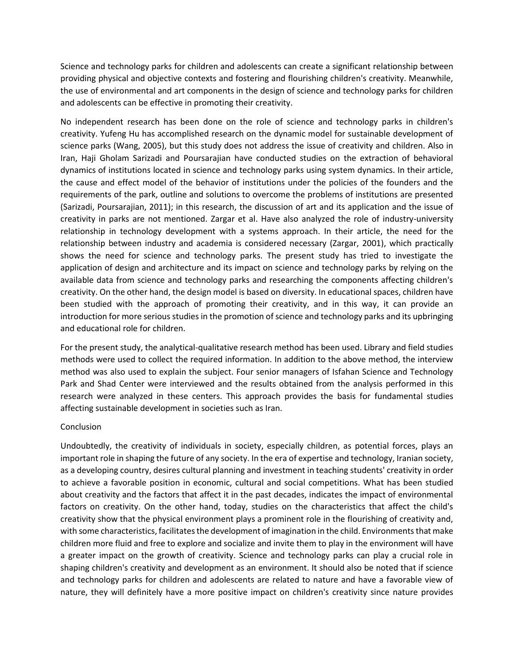Science and technology parks for children and adolescents can create a significant relationship between providing physical and objective contexts and fostering and flourishing children's creativity. Meanwhile, the use of environmental and art components in the design of science and technology parks for children and adolescents can be effective in promoting their creativity.

No independent research has been done on the role of science and technology parks in children's creativity. Yufeng Hu has accomplished research on the dynamic model for sustainable development of science parks (Wang, 2005), but this study does not address the issue of creativity and children. Also in Iran, Haji Gholam Sarizadi and Poursarajian have conducted studies on the extraction of behavioral dynamics of institutions located in science and technology parks using system dynamics. In their article, the cause and effect model of the behavior of institutions under the policies of the founders and the requirements of the park, outline and solutions to overcome the problems of institutions are presented (Sarizadi, Poursarajian, 2011); in this research, the discussion of art and its application and the issue of creativity in parks are not mentioned. Zargar et al. Have also analyzed the role of industry-university relationship in technology development with a systems approach. In their article, the need for the relationship between industry and academia is considered necessary (Zargar, 2001), which practically shows the need for science and technology parks. The present study has tried to investigate the application of design and architecture and its impact on science and technology parks by relying on the available data from science and technology parks and researching the components affecting children's creativity. On the other hand, the design model is based on diversity. In educational spaces, children have been studied with the approach of promoting their creativity, and in this way, it can provide an introduction for more serious studies in the promotion of science and technology parks and its upbringing and educational role for children.

For the present study, the analytical-qualitative research method has been used. Library and field studies methods were used to collect the required information. In addition to the above method, the interview method was also used to explain the subject. Four senior managers of Isfahan Science and Technology Park and Shad Center were interviewed and the results obtained from the analysis performed in this research were analyzed in these centers. This approach provides the basis for fundamental studies affecting sustainable development in societies such as Iran.

### Conclusion

Undoubtedly, the creativity of individuals in society, especially children, as potential forces, plays an important role in shaping the future of any society. In the era of expertise and technology, Iranian society, as a developing country, desires cultural planning and investment in teaching students' creativity in order to achieve a favorable position in economic, cultural and social competitions. What has been studied about creativity and the factors that affect it in the past decades, indicates the impact of environmental factors on creativity. On the other hand, today, studies on the characteristics that affect the child's creativity show that the physical environment plays a prominent role in the flourishing of creativity and, with some characteristics, facilitates the development of imagination in the child. Environments that make children more fluid and free to explore and socialize and invite them to play in the environment will have a greater impact on the growth of creativity. Science and technology parks can play a crucial role in shaping children's creativity and development as an environment. It should also be noted that if science and technology parks for children and adolescents are related to nature and have a favorable view of nature, they will definitely have a more positive impact on children's creativity since nature provides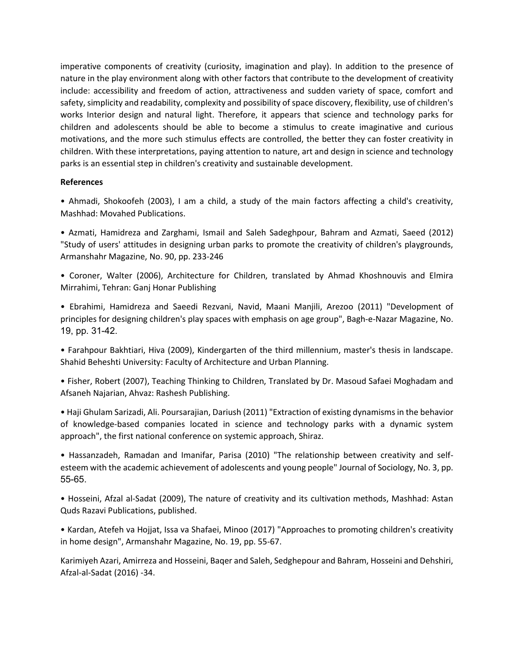imperative components of creativity (curiosity, imagination and play). In addition to the presence of nature in the play environment along with other factors that contribute to the development of creativity include: accessibility and freedom of action, attractiveness and sudden variety of space, comfort and safety, simplicity and readability, complexity and possibility of space discovery, flexibility, use of children's works Interior design and natural light. Therefore, it appears that science and technology parks for children and adolescents should be able to become a stimulus to create imaginative and curious motivations, and the more such stimulus effects are controlled, the better they can foster creativity in children. With these interpretations, paying attention to nature, art and design in science and technology parks is an essential step in children's creativity and sustainable development.

#### **References**

• Ahmadi, Shokoofeh (2003), I am a child, a study of the main factors affecting a child's creativity, Mashhad: Movahed Publications.

• Azmati, Hamidreza and Zarghami, Ismail and Saleh Sadeghpour, Bahram and Azmati, Saeed (2012) "Study of users' attitudes in designing urban parks to promote the creativity of children's playgrounds, Armanshahr Magazine, No. 90, pp. 233-246

• Coroner, Walter (2006), Architecture for Children, translated by Ahmad Khoshnouvis and Elmira Mirrahimi, Tehran: Ganj Honar Publishing

• Ebrahimi, Hamidreza and Saeedi Rezvani, Navid, Maani Manjili, Arezoo (2011) "Development of principles for designing children's play spaces with emphasis on age group", Bagh-e-Nazar Magazine, No. 19, pp. 31-42.

• Farahpour Bakhtiari, Hiva (2009), Kindergarten of the third millennium, master's thesis in landscape. Shahid Beheshti University: Faculty of Architecture and Urban Planning.

• Fisher, Robert (2007), Teaching Thinking to Children, Translated by Dr. Masoud Safaei Moghadam and Afsaneh Najarian, Ahvaz: Rashesh Publishing.

• Haji Ghulam Sarizadi, Ali. Poursarajian, Dariush (2011) "Extraction of existing dynamisms in the behavior of knowledge-based companies located in science and technology parks with a dynamic system approach", the first national conference on systemic approach, Shiraz.

• Hassanzadeh, Ramadan and Imanifar, Parisa (2010) "The relationship between creativity and selfesteem with the academic achievement of adolescents and young people" Journal of Sociology, No. 3, pp. 55-65.

• Hosseini, Afzal al-Sadat (2009), The nature of creativity and its cultivation methods, Mashhad: Astan Quds Razavi Publications, published.

• Kardan, Atefeh va Hojjat, Issa va Shafaei, Minoo (2017) "Approaches to promoting children's creativity in home design", Armanshahr Magazine, No. 19, pp. 55-67.

Karimiyeh Azari, Amirreza and Hosseini, Baqer and Saleh, Sedghepour and Bahram, Hosseini and Dehshiri, Afzal-al-Sadat (2016) -34.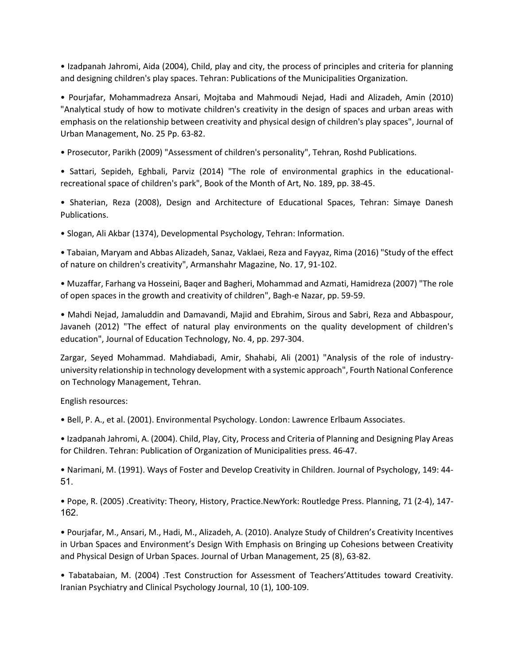• Izadpanah Jahromi, Aida (2004), Child, play and city, the process of principles and criteria for planning and designing children's play spaces. Tehran: Publications of the Municipalities Organization.

• Pourjafar, Mohammadreza Ansari, Mojtaba and Mahmoudi Nejad, Hadi and Alizadeh, Amin (2010) "Analytical study of how to motivate children's creativity in the design of spaces and urban areas with emphasis on the relationship between creativity and physical design of children's play spaces", Journal of Urban Management, No. 25 Pp. 63-82.

• Prosecutor, Parikh (2009) "Assessment of children's personality", Tehran, Roshd Publications.

• Sattari, Sepideh, Eghbali, Parviz (2014) "The role of environmental graphics in the educationalrecreational space of children's park", Book of the Month of Art, No. 189, pp. 38-45.

• Shaterian, Reza (2008), Design and Architecture of Educational Spaces, Tehran: Simaye Danesh Publications.

• Slogan, Ali Akbar (1374), Developmental Psychology, Tehran: Information.

• Tabaian, Maryam and Abbas Alizadeh, Sanaz, Vaklaei, Reza and Fayyaz, Rima (2016) "Study of the effect of nature on children's creativity", Armanshahr Magazine, No. 17, 91-102.

• Muzaffar, Farhang va Hosseini, Baqer and Bagheri, Mohammad and Azmati, Hamidreza (2007) "The role of open spaces in the growth and creativity of children", Bagh-e Nazar, pp. 59-59.

• Mahdi Nejad, Jamaluddin and Damavandi, Majid and Ebrahim, Sirous and Sabri, Reza and Abbaspour, Javaneh (2012) "The effect of natural play environments on the quality development of children's education", Journal of Education Technology, No. 4, pp. 297-304.

Zargar, Seyed Mohammad. Mahdiabadi, Amir, Shahabi, Ali (2001) "Analysis of the role of industryuniversity relationship in technology development with a systemic approach", Fourth National Conference on Technology Management, Tehran.

English resources:

• Bell, P. A., et al. (2001). Environmental Psychology. London: Lawrence Erlbaum Associates.

• Izadpanah Jahromi, A. (2004). Child, Play, City, Process and Criteria of Planning and Designing Play Areas for Children. Tehran: Publication of Organization of Municipalities press. 46-47.

• Narimani, M. (1991). Ways of Foster and Develop Creativity in Children. Journal of Psychology, 149: 44- 51.

• Pope, R. (2005) .Creativity: Theory, History, Practice.NewYork: Routledge Press. Planning, 71 (2-4), 147- 162.

• Pourjafar, M., Ansari, M., Hadi, M., Alizadeh, A. (2010). Analyze Study of Children's Creativity Incentives in Urban Spaces and Environment's Design With Emphasis on Bringing up Cohesions between Creativity and Physical Design of Urban Spaces. Journal of Urban Management, 25 (8), 63-82.

• Tabatabaian, M. (2004) .Test Construction for Assessment of Teachers'Attitudes toward Creativity. Iranian Psychiatry and Clinical Psychology Journal, 10 (1), 100-109.